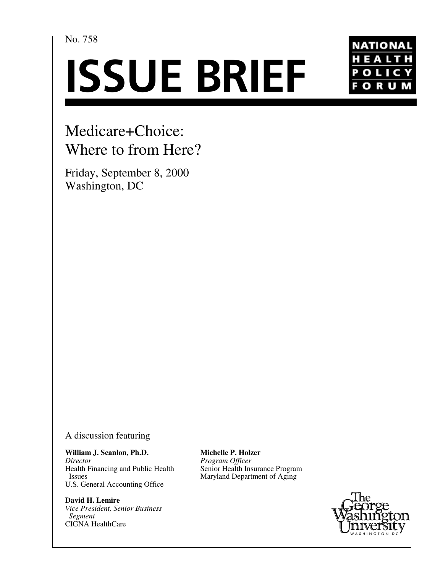No. 758

# **ISSUE BRIEF**



# Medicare+Choice: Where to from Here?

Friday, September 8, 2000 Washington, DC

A discussion featuring

**William J. Scanlon, Ph.D.** *Director* Health Financing and Public Health Issues U.S. General Accounting Office

**David H. Lemire** *Vice President, Senior Business Segment* CIGNA HealthCare

**Michelle P. Holzer** *Program Officer* Senior Health Insurance Program Maryland Department of Aging

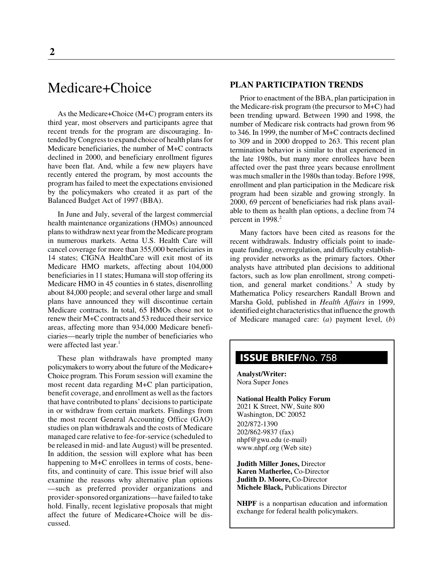## Medicare+Choice

As the Medicare+Choice (M+C) program enters its third year, most observers and participants agree that recent trends for the program are discouraging. Intended by Congress to expand choice of health plans for Medicare beneficiaries, the number of M+C contracts declined in 2000, and beneficiary enrollment figures have been flat. And, while a few new players have recently entered the program, by most accounts the program has failed to meet the expectations envisioned by the policymakers who created it as part of the Balanced Budget Act of 1997 (BBA).

In June and July, several of the largest commercial health maintenance organizations (HMOs) announced plans to withdraw next year from the Medicare program in numerous markets. Aetna U.S. Health Care will cancel coverage for more than 355,000 beneficiaries in 14 states; CIGNA HealthCare will exit most of its Medicare HMO markets, affecting about 104,000 beneficiaries in 11 states; Humana will stop offering its Medicare HMO in 45 counties in 6 states, disenrolling about 84,000 people; and several other large and small plans have announced they will discontinue certain Medicare contracts. In total, 65 HMOs chose not to renew their M+C contracts and 53 reduced their service areas, affecting more than 934,000 Medicare beneficiaries—nearly triple the number of beneficiaries who were affected last year.<sup>1</sup>

These plan withdrawals have prompted many policymakers to worry about the future of the Medicare+ Choice program. This Forum session will examine the most recent data regarding M+C plan participation, benefit coverage, and enrollment as well as the factors that have contributed to plans' decisions to participate in or withdraw from certain markets. Findings from the most recent General Accounting Office (GAO) studies on plan withdrawals and the costs of Medicare managed care relative to fee-for-service (scheduled to be released in mid- and late August) will be presented. In addition, the session will explore what has been happening to M+C enrollees in terms of costs, benefits, and continuity of care. This issue brief will also examine the reasons why alternative plan options —such as preferred provider organizations and provider-sponsored organizations—have failed to take hold. Finally, recent legislative proposals that might affect the future of Medicare+Choice will be discussed.

#### **PLAN PARTICIPATION TRENDS**

Prior to enactment of the BBA, plan participation in the Medicare-risk program (the precursor to M+C) had been trending upward. Between 1990 and 1998, the number of Medicare risk contracts had grown from 96 to 346. In 1999, the number of M+C contracts declined to 309 and in 2000 dropped to 263. This recent plan termination behavior is similar to that experienced in the late 1980s, but many more enrollees have been affected over the past three years because enrollment was much smaller in the 1980s than today. Before 1998, enrollment and plan participation in the Medicare risk program had been sizable and growing strongly. In 2000, 69 percent of beneficiaries had risk plans available to them as health plan options, a decline from 74 percent in 1998.<sup>2</sup>

Many factors have been cited as reasons for the recent withdrawals. Industry officials point to inadequate funding, overregulation, and difficulty establishing provider networks as the primary factors. Other analysts have attributed plan decisions to additional factors, such as low plan enrollment, strong competition, and general market conditions.<sup>3</sup> A study by Mathematica Policy researchers Randall Brown and Marsha Gold, published in *Health Affairs* in 1999, identified eight characteristics that influence the growth of Medicare managed care: (*a*) payment level, (*b*)

### **ISSUE BRIEF**/No. 758

**Analyst/Writer:** Nora Super Jones

**National Health Policy Forum** 2021 K Street, NW, Suite 800 Washington, DC 20052 202/872-1390 202/862-9837 (fax) nhpf@gwu.edu (e-mail) www.nhpf.org (Web site)

**Judith Miller Jones,** Director **Karen Matherlee,** Co-Director **Judith D. Moore,** Co-Director **Michele Black,** Publications Director

**NHPF** is a nonpartisan education and information exchange for federal health policymakers.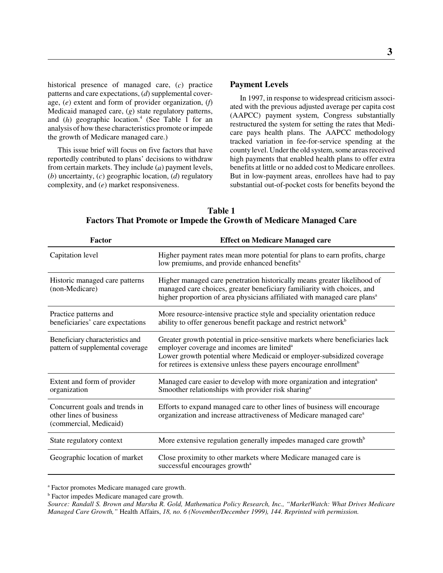historical presence of managed care, (*c*) practice patterns and care expectations, (*d*) supplemental coverage, (*e*) extent and form of provider organization, (*f*) Medicaid managed care, (*g*) state regulatory patterns, and (h) geographic location.<sup>4</sup> (See Table 1 for an analysis of how these characteristics promote or impede the growth of Medicare managed care.)

This issue brief will focus on five factors that have reportedly contributed to plans' decisions to withdraw from certain markets. They include (*a*) payment levels, (*b*) uncertainty, (*c*) geographic location, (*d*) regulatory complexity, and (*e*) market responsiveness.

#### **Payment Levels**

In 1997, in response to widespread criticism associated with the previous adjusted average per capita cost (AAPCC) payment system, Congress substantially restructured the system for setting the rates that Medicare pays health plans. The AAPCC methodology tracked variation in fee-for-service spending at the county level. Under the old system, some areas received high payments that enabled health plans to offer extra benefits at little or no added cost to Medicare enrollees. But in low-payment areas, enrollees have had to pay substantial out-of-pocket costs for benefits beyond the

| Factor                                                                              | <b>Effect on Medicare Managed care</b>                                                                                                                                                                                                                                                             |  |  |  |  |  |
|-------------------------------------------------------------------------------------|----------------------------------------------------------------------------------------------------------------------------------------------------------------------------------------------------------------------------------------------------------------------------------------------------|--|--|--|--|--|
| Capitation level                                                                    | Higher payment rates mean more potential for plans to earn profits, charge<br>low premiums, and provide enhanced benefits <sup>a</sup>                                                                                                                                                             |  |  |  |  |  |
| Historic managed care patterns<br>(non-Medicare)                                    | Higher managed care penetration historically means greater likelihood of<br>managed care choices, greater beneficiary familiarity with choices, and<br>higher proportion of area physicians affiliated with managed care plans <sup>a</sup>                                                        |  |  |  |  |  |
| Practice patterns and<br>beneficiaries' care expectations                           | More resource-intensive practice style and speciality orientation reduce<br>ability to offer generous benefit package and restrict network <sup>b</sup>                                                                                                                                            |  |  |  |  |  |
| Beneficiary characteristics and<br>pattern of supplemental coverage                 | Greater growth potential in price-sensitive markets where beneficiaries lack<br>employer coverage and incomes are limited <sup>a</sup><br>Lower growth potential where Medicaid or employer-subsidized coverage<br>for retirees is extensive unless these payers encourage enrollment <sup>b</sup> |  |  |  |  |  |
| Extent and form of provider<br>organization                                         | Managed care easier to develop with more organization and integration <sup>a</sup><br>Smoother relationships with provider risk sharing <sup>a</sup>                                                                                                                                               |  |  |  |  |  |
| Concurrent goals and trends in<br>other lines of business<br>(commercial, Medicaid) | Efforts to expand managed care to other lines of business will encourage<br>organization and increase attractiveness of Medicare managed care <sup>a</sup>                                                                                                                                         |  |  |  |  |  |
| State regulatory context                                                            | More extensive regulation generally impedes managed care growth <sup>b</sup>                                                                                                                                                                                                                       |  |  |  |  |  |
| Geographic location of market                                                       | Close proximity to other markets where Medicare managed care is<br>successful encourages growth <sup>a</sup>                                                                                                                                                                                       |  |  |  |  |  |

**Table 1 Factors That Promote or Impede the Growth of Medicare Managed Care**

a Factor promotes Medicare managed care growth.

<sup>b</sup> Factor impedes Medicare managed care growth.

*Source: Randall S. Brown and Marsha R. Gold, Mathematica Policy Research, Inc., "MarketWatch: What Drives Medicare Managed Care Growth,"* Health Affairs, *18, no. 6 (November/December 1999), 144. Reprinted with permission.*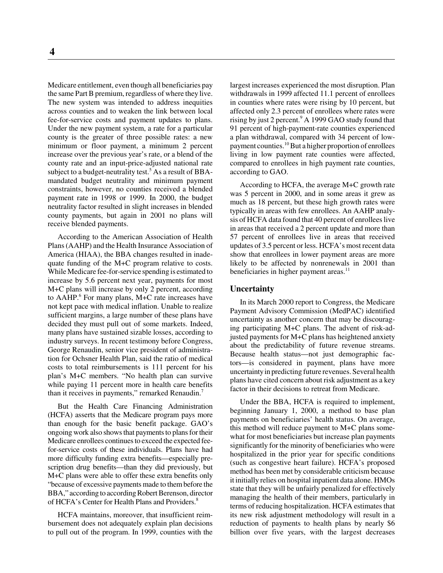Medicare entitlement, even though all beneficiaries pay the same Part B premium, regardless of where they live. The new system was intended to address inequities across counties and to weaken the link between local fee-for-service costs and payment updates to plans. Under the new payment system, a rate for a particular county is the greater of three possible rates: a new minimum or floor payment, a minimum 2 percent increase over the previous year's rate, or a blend of the county rate and an input-price-adjusted national rate subject to a budget-neutrality test.<sup>5</sup> As a result of BBAmandated budget neutrality and minimum payment constraints, however, no counties received a blended payment rate in 1998 or 1999. In 2000, the budget neutrality factor resulted in slight increases in blended county payments, but again in 2001 no plans will receive blended payments.

According to the American Association of Health Plans (AAHP) and the Health Insurance Association of America (HIAA), the BBA changes resulted in inadequate funding of the M+C program relative to costs. While Medicare fee-for-service spending is estimated to increase by 5.6 percent next year, payments for most M+C plans will increase by only 2 percent, according to  $AAHP$ <sup>6</sup> For many plans, M+C rate increases have not kept pace with medical inflation. Unable to realize sufficient margins, a large number of these plans have decided they must pull out of some markets. Indeed, many plans have sustained sizable losses, according to industry surveys. In recent testimony before Congress, George Renaudin, senior vice president of administration for Ochsner Health Plan, said the ratio of medical costs to total reimbursements is 111 percent for his plan's M+C members. "No health plan can survive while paying 11 percent more in health care benefits than it receives in payments," remarked Renaudin.<sup>7</sup>

But the Health Care Financing Administration (HCFA) asserts that the Medicare program pays more than enough for the basic benefit package. GAO's ongoing work also shows that payments to plans for their Medicare enrollees continues to exceed the expected feefor-service costs of these individuals. Plans have had more difficulty funding extra benefits—especially prescription drug benefits—than they did previously, but M+C plans were able to offer these extra benefits only "because of excessive payments made to them before the BBA," according to according Robert Berenson, director of HCFA's Center for Health Plans and Providers.<sup>8</sup>

HCFA maintains, moreover, that insufficient reimbursement does not adequately explain plan decisions to pull out of the program. In 1999, counties with the largest increases experienced the most disruption. Plan withdrawals in 1999 affected 11.1 percent of enrollees in counties where rates were rising by 10 percent, but affected only 2.3 percent of enrollees where rates were rising by just 2 percent.<sup>9</sup> A 1999 GAO study found that 91 percent of high-payment-rate counties experienced a plan withdrawal, compared with 34 percent of lowpayment counties.10 But a higher proportion of enrollees living in low payment rate counties were affected, compared to enrollees in high payment rate counties, according to GAO.

According to HCFA, the average M+C growth rate was 5 percent in 2000, and in some areas it grew as much as 18 percent, but these high growth rates were typically in areas with few enrollees. An AAHP analysis of HCFA data found that 40 percent of enrollees live in areas that received a 2 percent update and more than 57 percent of enrollees live in areas that received updates of 3.5 percent or less. HCFA's most recent data show that enrollees in lower payment areas are more likely to be affected by nonrenewals in 2001 than beneficiaries in higher payment areas. $<sup>11</sup>$ </sup>

#### **Uncertainty**

In its March 2000 report to Congress, the Medicare Payment Advisory Commission (MedPAC) identified uncertainty as another concern that may be discouraging participating M+C plans. The advent of risk-adjusted payments for M+C plans has heightened anxiety about the predictability of future revenue streams. Because health status—not just demographic factors—is considered in payment, plans have more uncertainty in predicting future revenues. Several health plans have cited concern about risk adjustment as a key factor in their decisions to retreat from Medicare.

Under the BBA, HCFA is required to implement, beginning January 1, 2000, a method to base plan payments on beneficiaries' health status. On average, this method will reduce payment to M+C plans somewhat for most beneficiaries but increase plan payments significantly for the minority of beneficiaries who were hospitalized in the prior year for specific conditions (such as congestive heart failure). HCFA's proposed method has been met by considerable criticism because it initially relies on hospital inpatient data alone. HMOs state that they will be unfairly penalized for effectively managing the health of their members, particularly in terms of reducing hospitalization. HCFA estimates that its new risk adjustment methodology will result in a reduction of payments to health plans by nearly \$6 billion over five years, with the largest decreases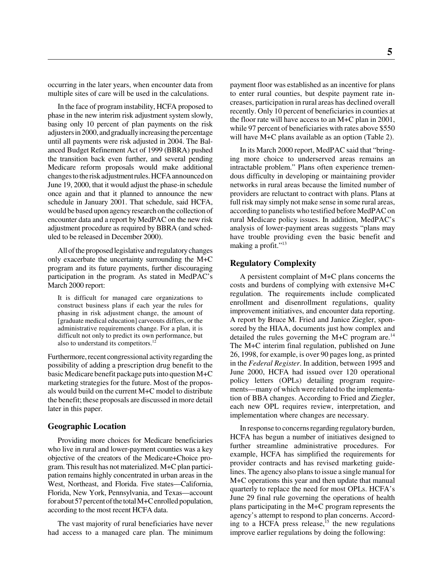occurring in the later years, when encounter data from multiple sites of care will be used in the calculations.

In the face of program instability, HCFA proposed to phase in the new interim risk adjustment system slowly, basing only 10 percent of plan payments on the risk adjusters in 2000, and gradually increasing the percentage until all payments were risk adjusted in 2004. The Balanced Budget Refinement Act of 1999 (BBRA) pushed the transition back even further, and several pending Medicare reform proposals would make additional changes to the risk adjustment rules. HCFA announced on June 19, 2000, that it would adjust the phase-in schedule once again and that it planned to announce the new schedule in January 2001. That schedule, said HCFA, would be based upon agency research on the collection of encounter data and a report by MedPAC on the new risk adjustment procedure as required by BBRA (and scheduled to be released in December 2000).

All of the proposed legislative and regulatory changes only exacerbate the uncertainty surrounding the M+C program and its future payments, further discouraging participation in the program. As stated in MedPAC's March 2000 report:

It is difficult for managed care organizations to construct business plans if each year the rules for phasing in risk adjustment change, the amount of [graduate medical education] carveouts differs, or the administrative requirements change. For a plan, it is difficult not only to predict its own performance, but also to understand its competitors.<sup>12</sup>

Furthermore, recent congressional activity regarding the possibility of adding a prescription drug benefit to the basic Medicare benefit package puts into question M+C marketing strategies for the future. Most of the proposals would build on the current M+C model to distribute the benefit; these proposals are discussed in more detail later in this paper.

#### **Geographic Location**

Providing more choices for Medicare beneficiaries who live in rural and lower-payment counties was a key objective of the creators of the Medicare+Choice program. This result has not materialized. M+C plan participation remains highly concentrated in urban areas in the West, Northeast, and Florida. Five states—California, Florida, New York, Pennsylvania, and Texas—account for about 57 percent of the total M+C enrolled population, according to the most recent HCFA data.

The vast majority of rural beneficiaries have never had access to a managed care plan. The minimum payment floor was established as an incentive for plans to enter rural counties, but despite payment rate increases, participation in rural areas has declined overall recently. Only 10 percent of beneficiaries in counties at the floor rate will have access to an M+C plan in 2001, while 97 percent of beneficiaries with rates above \$550 will have M+C plans available as an option (Table 2).

In its March 2000 report, MedPAC said that "bringing more choice to underserved areas remains an intractable problem." Plans often experience tremendous difficulty in developing or maintaining provider networks in rural areas because the limited number of providers are reluctant to contract with plans. Plans at full risk may simply not make sense in some rural areas, according to panelists who testified before MedPAC on rural Medicare policy issues. In addition, MedPAC's analysis of lower-payment areas suggests "plans may have trouble providing even the basic benefit and making a profit."<sup>13</sup>

#### **Regulatory Complexity**

A persistent complaint of M+C plans concerns the costs and burdens of complying with extensive M+C regulation. The requirements include complicated enrollment and disenrollment regulations, quality improvement initiatives, and encounter data reporting. A report by Bruce M. Fried and Janice Ziegler, sponsored by the HIAA, documents just how complex and detailed the rules governing the M+C program are.<sup>14</sup> The M+C interim final regulation, published on June 26, 1998, for example, is over 90 pages long, as printed in the *Federal Register*. In addition, between 1995 and June 2000, HCFA had issued over 120 operational policy letters (OPLs) detailing program requirements—many of which were related to the implementation of BBA changes. According to Fried and Ziegler, each new OPL requires review, interpretation, and implementation where changes are necessary.

In response to concerns regarding regulatory burden, HCFA has begun a number of initiatives designed to further streamline administrative procedures. For example, HCFA has simplified the requirements for provider contracts and has revised marketing guidelines. The agency also plans to issue a single manual for M+C operations this year and then update that manual quarterly to replace the need for most OPLs. HCFA's June 29 final rule governing the operations of health plans participating in the M+C program represents the agency's attempt to respond to plan concerns. According to a HCFA press release,  $^{15}$  the new regulations improve earlier regulations by doing the following: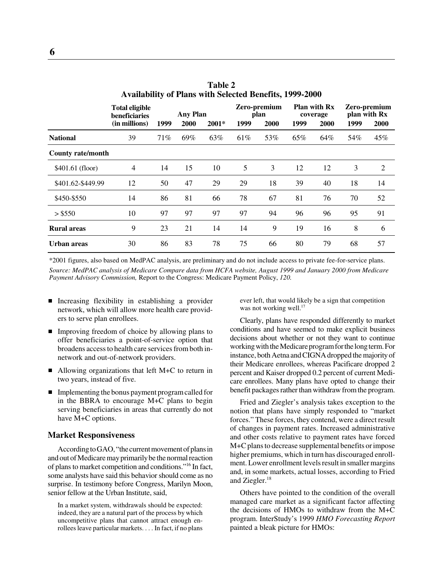|                    | <b>Total eligible</b><br><b>beneficiaries</b><br>(in millions) | <b>Any Plan</b><br>2000<br>2001*<br>1999 |     | Zero-premium<br>plan<br>1999<br>2000 |     | <b>Plan with Rx</b><br>coverage<br>1999<br>2000 |     | Zero-premium<br>plan with Rx<br>1999<br>2000 |     |     |
|--------------------|----------------------------------------------------------------|------------------------------------------|-----|--------------------------------------|-----|-------------------------------------------------|-----|----------------------------------------------|-----|-----|
| <b>National</b>    | 39                                                             | 71%                                      | 69% | 63%                                  | 61% | 53%                                             | 65% | 64%                                          | 54% | 45% |
| County rate/month  |                                                                |                                          |     |                                      |     |                                                 |     |                                              |     |     |
| \$401.61 (floor)   | $\overline{4}$                                                 | 14                                       | 15  | 10                                   | 5   | 3                                               | 12  | 12                                           | 3   | 2   |
| \$401.62-\$449.99  | 12                                                             | 50                                       | 47  | 29                                   | 29  | 18                                              | 39  | 40                                           | 18  | 14  |
| \$450-\$550        | 14                                                             | 86                                       | 81  | 66                                   | 78  | 67                                              | 81  | 76                                           | 70  | 52  |
| > \$550            | 10                                                             | 97                                       | 97  | 97                                   | 97  | 94                                              | 96  | 96                                           | 95  | 91  |
| <b>Rural areas</b> | 9                                                              | 23                                       | 21  | 14                                   | 14  | 9                                               | 19  | 16                                           | 8   | 6   |
| Urban areas        | 30                                                             | 86                                       | 83  | 78                                   | 75  | 66                                              | 80  | 79                                           | 68  | 57  |

**Table 2 Availability of Plans with Selected Benefits, 1999-2000**

\*2001 figures, also based on MedPAC analysis, are preliminary and do not include access to private fee-for-service plans. *Source: MedPAC analysis of Medicare Compare data from HCFA website, August 1999 and January 2000 from Medicare Payment Advisory Commission,* Report to the Congress: Medicare Payment Policy, *120.*

- Increasing flexibility in establishing a provider network, which will allow more health care providers to serve plan enrollees.
- Improving freedom of choice by allowing plans to offer beneficiaries a point-of-service option that broadens access to health care services from both innetwork and out-of-network providers.
- Allowing organizations that left M+C to return in two years, instead of five.
- **Implementing the bonus payment program called for** in the BBRA to encourage M+C plans to begin serving beneficiaries in areas that currently do not have M+C options.

#### **Market Responsiveness**

According to GAO, "the current movement of plans in and out of Medicare may primarily be the normal reaction of plans to market competition and conditions."16 In fact, some analysts have said this behavior should come as no surprise. In testimony before Congress, Marilyn Moon, senior fellow at the Urban Institute, said,

In a market system, withdrawals should be expected: indeed, they are a natural part of the process by which uncompetitive plans that cannot attract enough enrollees leave particular markets. . . . In fact, if no plans ever left, that would likely be a sign that competition was not working well.<sup>17</sup>

Clearly, plans have responded differently to market conditions and have seemed to make explicit business decisions about whether or not they want to continue working with the Medicare program for the long term. For instance, both Aetna and CIGNA dropped the majority of their Medicare enrollees, whereas Pacificare dropped 2 percent and Kaiser dropped 0.2 percent of current Medicare enrollees. Many plans have opted to change their benefit packages rather than withdraw from the program.

Fried and Ziegler's analysis takes exception to the notion that plans have simply responded to "market forces." These forces, they contend, were a direct result of changes in payment rates. Increased administrative and other costs relative to payment rates have forced M+C plans to decrease supplemental benefits or impose higher premiums, which in turn has discouraged enrollment. Lower enrollment levels result in smaller margins and, in some markets, actual losses, according to Fried and Ziegler.<sup>18</sup>

Others have pointed to the condition of the overall managed care market as a significant factor affecting the decisions of HMOs to withdraw from the M+C program. InterStudy's 1999 *HMO Forecasting Report* painted a bleak picture for HMOs: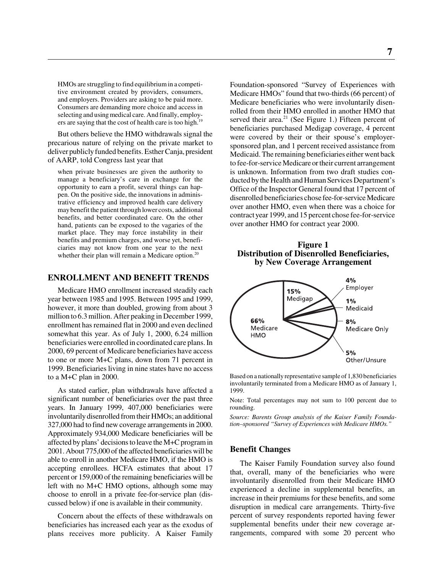HMOs are struggling to find equilibrium in a competitive environment created by providers, consumers, and employers. Providers are asking to be paid more. Consumers are demanding more choice and access in selecting and using medical care. And finally, employers are saying that the cost of health care is too high.<sup>19</sup>

But others believe the HMO withdrawals signal the precarious nature of relying on the private market to deliver publicly funded benefits. Esther Canja, president of AARP, told Congress last year that

when private businesses are given the authority to manage a beneficiary's care in exchange for the opportunity to earn a profit, several things can happen. On the positive side, the innovations in administrative efficiency and improved health care delivery may benefit the patient through lower costs, additional benefits, and better coordinated care. On the other hand, patients can be exposed to the vagaries of the market place. They may force instability in their benefits and premium charges, and worse yet, beneficiaries may not know from one year to the next whether their plan will remain a Medicare option.<sup>20</sup>

#### **ENROLLMENT AND BENEFIT TRENDS**

Medicare HMO enrollment increased steadily each year between 1985 and 1995. Between 1995 and 1999, however, it more than doubled, growing from about 3 million to 6.3 million. After peaking in December 1999, enrollment has remained flat in 2000 and even declined somewhat this year. As of July 1, 2000, 6.24 million beneficiaries were enrolled in coordinated care plans. In 2000, 69 percent of Medicare beneficiaries have access to one or more M+C plans, down from 71 percent in 1999. Beneficiaries living in nine states have no access to a M+C plan in 2000.

As stated earlier, plan withdrawals have affected a significant number of beneficiaries over the past three years. In January 1999, 407,000 beneficiaries were involuntarily disenrolled from their HMOs; an additional 327,000 had to find new coverage arrangements in 2000. Approximately 934,000 Medicare beneficiaries will be affected by plans' decisions to leave the M+C program in 2001. About 775,000 of the affected beneficiaries will be able to enroll in another Medicare HMO, if the HMO is accepting enrollees. HCFA estimates that about 17 percent or 159,000 of the remaining beneficiaries will be left with no M+C HMO options, although some may choose to enroll in a private fee-for-service plan (discussed below) if one is available in their community.

Concern about the effects of these withdrawals on beneficiaries has increased each year as the exodus of plans receives more publicity. A Kaiser Family Foundation-sponsored "Survey of Experiences with Medicare HMOs" found that two-thirds (66 percent) of Medicare beneficiaries who were involuntarily disenrolled from their HMO enrolled in another HMO that served their area. $21$  (See Figure 1.) Fifteen percent of beneficiaries purchased Medigap coverage, 4 percent were covered by their or their spouse's employersponsored plan, and 1 percent received assistance from Medicaid. The remaining beneficiaries either went back to fee-for-service Medicare or their current arrangement is unknown. Information from two draft studies conducted by the Health and Human Services Department's Office of the Inspector General found that 17 percent of disenrolled beneficiaries chose fee-for-service Medicare over another HMO, even when there was a choice for contract year 1999, and 15 percent chose fee-for-service over another HMO for contract year 2000.

#### **Figure 1 Distribution of Disenrolled Beneficiaries, by New Coverage Arrangement**



Based on a nationally representative sample of 1,830 beneficiaries involuntarily terminated from a Medicare HMO as of January 1, 1999.

Note: Total percentages may not sum to 100 percent due to rounding.

*Source: Barents Group analysis of the Kaiser Family Foundation–sponsored "Survey of Experiences with Medicare HMOs."*

#### **Benefit Changes**

The Kaiser Family Foundation survey also found that, overall, many of the beneficiaries who were involuntarily disenrolled from their Medicare HMO experienced a decline in supplemental benefits, an increase in their premiums for these benefits, and some disruption in medical care arrangements. Thirty-five percent of survey respondents reported having fewer supplemental benefits under their new coverage arrangements, compared with some 20 percent who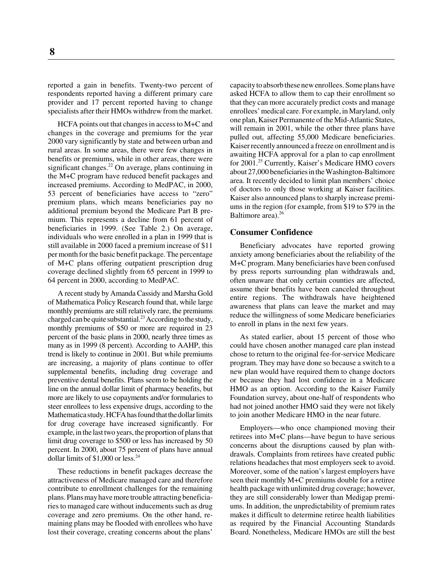reported a gain in benefits. Twenty-two percent of respondents reported having a different primary care provider and 17 percent reported having to change specialists after their HMOs withdrew from the market.

HCFA points out that changes in access to M+C and changes in the coverage and premiums for the year 2000 vary significantly by state and between urban and rural areas. In some areas, there were few changes in benefits or premiums, while in other areas, there were significant changes. $^{22}$  On average, plans continuing in the M+C program have reduced benefit packages and increased premiums. According to MedPAC, in 2000, 53 percent of beneficiaries have access to "zero" premium plans, which means beneficiaries pay no additional premium beyond the Medicare Part B premium. This represents a decline from 61 percent of beneficiaries in 1999. (See Table 2.) On average, individuals who were enrolled in a plan in 1999 that is still available in 2000 faced a premium increase of \$11 per month for the basic benefit package. The percentage of M+C plans offering outpatient prescription drug coverage declined slightly from 65 percent in 1999 to 64 percent in 2000, according to MedPAC.

A recent study by Amanda Cassidy and Marsha Gold of Mathematica Policy Research found that, while large monthly premiums are still relatively rare, the premiums charged can be quite substantial.<sup>23</sup> According to the study, monthly premiums of \$50 or more are required in 23 percent of the basic plans in 2000, nearly three times as many as in 1999 (8 percent). According to AAHP, this trend is likely to continue in 2001. But while premiums are increasing, a majority of plans continue to offer supplemental benefits, including drug coverage and preventive dental benefits. Plans seem to be holding the line on the annual dollar limit of pharmacy benefits, but more are likely to use copayments and/or formularies to steer enrollees to less expensive drugs, according to the Mathematica study. HCFA has found that the dollar limits for drug coverage have increased significantly. For example, in the last two years, the proportion of plans that limit drug coverage to \$500 or less has increased by 50 percent. In 2000, about 75 percent of plans have annual dollar limits of  $$1,000$  or less.<sup>24</sup>

These reductions in benefit packages decrease the attractiveness of Medicare managed care and therefore contribute to enrollment challenges for the remaining plans. Plans may have more trouble attracting beneficiaries to managed care without inducements such as drug coverage and zero premiums. On the other hand, remaining plans may be flooded with enrollees who have lost their coverage, creating concerns about the plans'

capacity to absorb these new enrollees. Some plans have asked HCFA to allow them to cap their enrollment so that they can more accurately predict costs and manage enrollees' medical care. For example, in Maryland, only one plan, Kaiser Permanente of the Mid-Atlantic States, will remain in 2001, while the other three plans have pulled out, affecting 55,000 Medicare beneficiaries. Kaiser recently announced a freeze on enrollment and is awaiting HCFA approval for a plan to cap enrollment for 2001.<sup>25</sup> Currently, Kaiser's Medicare HMO covers about 27,000 beneficiaries in the Washington-Baltimore area. It recently decided to limit plan members' choice of doctors to only those working at Kaiser facilities. Kaiser also announced plans to sharply increase premiums in the region (for example, from \$19 to \$79 in the Baltimore area).<sup>26</sup>

#### **Consumer Confidence**

Beneficiary advocates have reported growing anxiety among beneficiaries about the reliability of the M+C program. Many beneficiaries have been confused by press reports surrounding plan withdrawals and, often unaware that only certain counties are affected, assume their benefits have been canceled throughout entire regions. The withdrawals have heightened awareness that plans can leave the market and may reduce the willingness of some Medicare beneficiaries to enroll in plans in the next few years.

As stated earlier, about 15 percent of those who could have chosen another managed care plan instead chose to return to the original fee-for-service Medicare program. They may have done so because a switch to a new plan would have required them to change doctors or because they had lost confidence in a Medicare HMO as an option. According to the Kaiser Family Foundation survey, about one-half of respondents who had not joined another HMO said they were not likely to join another Medicare HMO in the near future.

Employers—who once championed moving their retirees into M+C plans—have begun to have serious concerns about the disruptions caused by plan withdrawals. Complaints from retirees have created public relations headaches that most employers seek to avoid. Moreover, some of the nation's largest employers have seen their monthly M+C premiums double for a retiree health package with unlimited drug coverage; however, they are still considerably lower than Medigap premiums. In addition, the unpredictability of premium rates makes it difficult to determine retiree health liabilities as required by the Financial Accounting Standards Board. Nonetheless, Medicare HMOs are still the best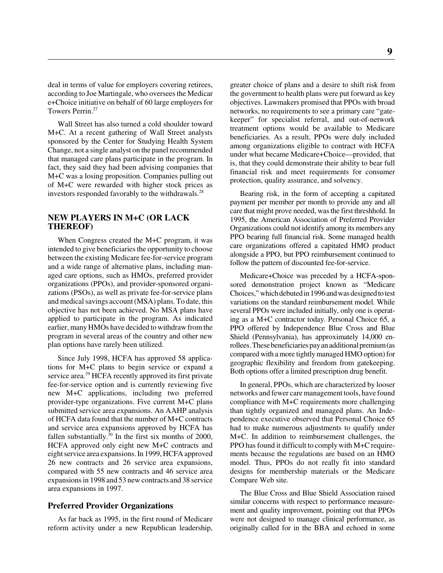deal in terms of value for employers covering retirees, according to Joe Martingale, who oversees the Medicar e+Choice initiative on behalf of 60 large employers for Towers Perrin.<sup>27</sup>

Wall Street has also turned a cold shoulder toward M+C. At a recent gathering of Wall Street analysts sponsored by the Center for Studying Health System Change, not a single analyst on the panel recommended that managed care plans participate in the program. In fact, they said they had been advising companies that M+C was a losing proposition. Companies pulling out of M+C were rewarded with higher stock prices as investors responded favorably to the withdrawals.<sup>28</sup>

#### **NEW PLAYERS IN M+C (OR LACK THEREOF)**

When Congress created the M+C program, it was intended to give beneficiaries the opportunity to choose between the existing Medicare fee-for-service program and a wide range of alternative plans, including managed care options, such as HMOs, preferred provider organizations (PPOs), and provider-sponsored organizations (PSOs), as well as private fee-for-service plans and medical savings account (MSA) plans. To date, this objective has not been achieved. No MSA plans have applied to participate in the program. As indicated earlier, many HMOs have decided to withdraw from the program in several areas of the country and other new plan options have rarely been utilized.

Since July 1998, HCFA has approved 58 applications for M+C plans to begin service or expand a service area.<sup>29</sup> HCFA recently approved its first private fee-for-service option and is currently reviewing five new M+C applications, including two preferred provider-type organizations. Five current M+C plans submitted service area expansions. An AAHP analysis of HCFA data found that the number of M+C contracts and service area expansions approved by HCFA has fallen substantially. $30 \text{ In the first six months of } 2000$ , HCFA approved only eight new M+C contracts and eight service area expansions. In 1999, HCFA approved 26 new contracts and 26 service area expansions, compared with 55 new contracts and 46 service area expansions in 1998 and 53 new contracts and 38 service area expansions in 1997.

#### **Preferred Provider Organizations**

As far back as 1995, in the first round of Medicare reform activity under a new Republican leadership, greater choice of plans and a desire to shift risk from the government to health plans were put forward as key objectives. Lawmakers promised that PPOs with broad networks, no requirements to see a primary care "gatekeeper" for specialist referral, and out-of-network treatment options would be available to Medicare beneficiaries. As a result, PPOs were duly included among organizations eligible to contract with HCFA under what became Medicare+Choice—provided, that is, that they could demonstrate their ability to bear full financial risk and meet requirements for consumer protection, quality assurance, and solvency.

Bearing risk, in the form of accepting a capitated payment per member per month to provide any and all care that might prove needed, was the first threshhold. In 1995, the American Association of Preferred Provider Organizations could not identify among its members any PPO bearing full financial risk. Some managed health care organizations offered a capitated HMO product alongside a PPO, but PPO reimbursement continued to follow the pattern of discounted fee-for-service.

Medicare+Choice was preceded by a HCFA-sponsored demonstration project known as "Medicare Choices," which debuted in 1996 and was designed to test variations on the standard reimbursement model. While several PPOs were included initially, only one is operating as a M+C contractor today. Personal Choice 65, a PPO offered by Independence Blue Cross and Blue Shield (Pennsylvania), has approximately 14,000 enrollees. These beneficiaries pay an additional premium (as compared with a more tightly managed HMO option) for geographic flexibility and freedom from gatekeeping. Both options offer a limited prescription drug benefit.

In general, PPOs, which are characterized by looser networks and fewer care management tools, have found compliance with M+C requirements more challenging than tightly organized and managed plans. An Independence executive observed that Personal Choice 65 had to make numerous adjustments to qualify under M+C. In addition to reimbursement challenges, the PPO has found it difficult to comply with M+C requirements because the regulations are based on an HMO model. Thus, PPOs do not really fit into standard designs for membership materials or the Medicare Compare Web site.

The Blue Cross and Blue Shield Association raised similar concerns with respect to performance measurement and quality improvement, pointing out that PPOs were not designed to manage clinical performance, as originally called for in the BBA and echoed in some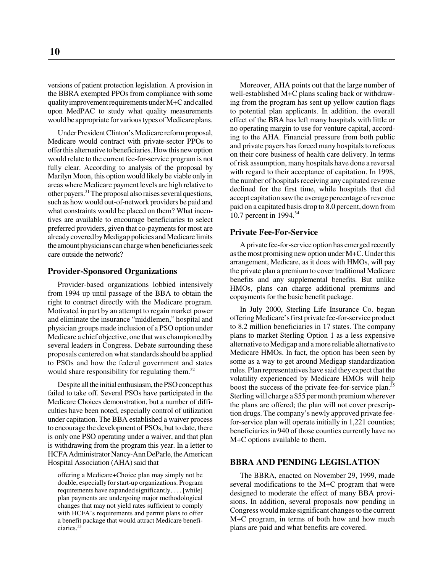versions of patient protection legislation. A provision in the BBRA exempted PPOs from compliance with some quality improvement requirements under M+C and called upon MedPAC to study what quality measurements would be appropriate for various types of Medicare plans.

Under President Clinton's Medicare reform proposal, Medicare would contract with private-sector PPOs to offer this alternative to beneficiaries. How this new option would relate to the current fee-for-service program is not fully clear. According to analysis of the proposal by Marilyn Moon, this option would likely be viable only in areas where Medicare payment levels are high relative to other payers.31 The proposal also raises several questions, such as how would out-of-network providers be paid and what constraints would be placed on them? What incentives are available to encourage beneficiaries to select preferred providers, given that co-payments for most are already covered by Medigap policies and Medicare limits the amount physicians can charge when beneficiaries seek care outside the network?

#### **Provider-Sponsored Organizations**

Provider-based organizations lobbied intensively from 1994 up until passage of the BBA to obtain the right to contract directly with the Medicare program. Motivated in part by an attempt to regain market power and eliminate the insurance "middlemen," hospital and physician groups made inclusion of a PSO option under Medicare a chief objective, one that was championed by several leaders in Congress. Debate surrounding these proposals centered on what standards should be applied to PSOs and how the federal government and states would share responsibility for regulating them.<sup>32</sup>

Despite all the initial enthusiasm, the PSO concept has failed to take off. Several PSOs have participated in the Medicare Choices demonstration, but a number of difficulties have been noted, especially control of utilization under capitation. The BBA established a waiver process to encourage the development of PSOs, but to date, there is only one PSO operating under a waiver, and that plan is withdrawing from the program this year. In a letter to HCFA Administrator Nancy-Ann DeParle, the American Hospital Association (AHA) said that

offering a Medicare+Choice plan may simply not be doable, especially for start-up organizations. Program requirements have expanded significantly, . . . [while] plan payments are undergoing major methodological changes that may not yield rates sufficient to comply with HCFA's requirements and permit plans to offer a benefit package that would attract Medicare beneficiaries.33

Moreover, AHA points out that the large number of well-established M+C plans scaling back or withdrawing from the program has sent up yellow caution flags to potential plan applicants. In addition, the overall effect of the BBA has left many hospitals with little or no operating margin to use for venture capital, according to the AHA. Financial pressure from both public and private payers has forced many hospitals to refocus on their core business of health care delivery. In terms of risk assumption, many hospitals have done a reversal with regard to their acceptance of capitation. In 1998, the number of hospitals receiving any capitated revenue declined for the first time, while hospitals that did accept capitation saw the average percentage of revenue paid on a capitated basis drop to 8.0 percent, down from 10.7 percent in 1994.<sup>34</sup>

#### **Private Fee-For-Service**

A private fee-for-service option has emerged recently as the most promising new option under M+C. Under this arrangement, Medicare, as it does with HMOs, will pay the private plan a premium to cover traditional Medicare benefits and any supplemental benefits. But unlike HMOs, plans can charge additional premiums and copayments for the basic benefit package.

In July 2000, Sterling Life Insurance Co. began offering Medicare's first private fee-for-service product to 8.2 million beneficiaries in 17 states. The company plans to market Sterling Option 1 as a less expensive alternative to Medigap and a more reliable alternative to Medicare HMOs. In fact, the option has been seen by some as a way to get around Medigap standardization rules. Plan representatives have said they expect that the volatility experienced by Medicare HMOs will help boost the success of the private fee-for-service plan.<sup>35</sup> Sterling will charge a \$55 per month premium wherever the plans are offered; the plan will not cover prescription drugs. The company's newly approved private feefor-service plan will operate initially in 1,221 counties; beneficiaries in 940 of those counties currently have no M+C options available to them.

#### **BBRA AND PENDING LEGISLATION**

The BBRA, enacted on November 29, 1999, made several modifications to the M+C program that were designed to moderate the effect of many BBA provisions. In addition, several proposals now pending in Congress would make significant changes to the current M+C program, in terms of both how and how much plans are paid and what benefits are covered.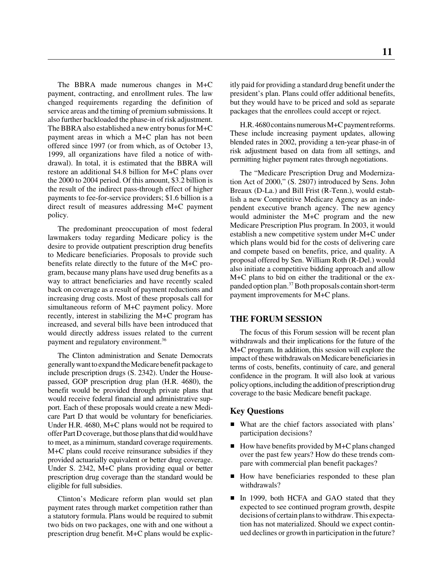**11**

The BBRA made numerous changes in M+C payment, contracting, and enrollment rules. The law changed requirements regarding the definition of service areas and the timing of premium submissions. It also further backloaded the phase-in of risk adjustment. The BBRA also established a new entry bonus for M+C payment areas in which a M+C plan has not been offered since 1997 (or from which, as of October 13, 1999, all organizations have filed a notice of withdrawal). In total, it is estimated that the BBRA will restore an additional \$4.8 billion for M+C plans over the 2000 to 2004 period. Of this amount, \$3.2 billion is the result of the indirect pass-through effect of higher payments to fee-for-service providers; \$1.6 billion is a direct result of measures addressing M+C payment policy.

The predominant preoccupation of most federal lawmakers today regarding Medicare policy is the desire to provide outpatient prescription drug benefits to Medicare beneficiaries. Proposals to provide such benefits relate directly to the future of the M+C program, because many plans have used drug benefits as a way to attract beneficiaries and have recently scaled back on coverage as a result of payment reductions and increasing drug costs. Most of these proposals call for simultaneous reform of M+C payment policy. More recently, interest in stabilizing the M+C program has increased, and several bills have been introduced that would directly address issues related to the current payment and regulatory environment.36

The Clinton administration and Senate Democrats generally want to expand the Medicare benefit package to include prescription drugs (S. 2342). Under the Housepassed, GOP prescription drug plan (H.R. 4680), the benefit would be provided through private plans that would receive federal financial and administrative support. Each of these proposals would create a new Medicare Part D that would be voluntary for beneficiaries. Under H.R. 4680, M+C plans would not be required to offer Part D coverage, but those plans that did would have to meet, as a minimum, standard coverage requirements. M+C plans could receive reinsurance subsidies if they provided actuarially equivalent or better drug coverage. Under S. 2342, M+C plans providing equal or better prescription drug coverage than the standard would be eligible for full subsidies.

Clinton's Medicare reform plan would set plan payment rates through market competition rather than a statutory formula. Plans would be required to submit two bids on two packages, one with and one without a prescription drug benefit. M+C plans would be explicitly paid for providing a standard drug benefit under the president's plan. Plans could offer additional benefits, but they would have to be priced and sold as separate packages that the enrollees could accept or reject.

H.R. 4680 contains numerous M+C payment reforms. These include increasing payment updates, allowing blended rates in 2002, providing a ten-year phase-in of risk adjustment based on data from all settings, and permitting higher payment rates through negotiations.

The "Medicare Prescription Drug and Modernization Act of 2000," (S. 2807) introduced by Sens. John Breaux (D-La.) and Bill Frist (R-Tenn.), would establish a new Competitive Medicare Agency as an independent executive branch agency. The new agency would administer the M+C program and the new Medicare Prescription Plus program. In 2003, it would establish a new competitive system under M+C under which plans would bid for the costs of delivering care and compete based on benefits, price, and quality. A proposal offered by Sen. William Roth (R-Del.) would also initiate a competitive bidding approach and allow M+C plans to bid on either the traditional or the expanded option plan.37 Both proposals contain short-term payment improvements for M+C plans.

#### **THE FORUM SESSION**

The focus of this Forum session will be recent plan withdrawals and their implications for the future of the M+C program. In addition, this session will explore the impact of these withdrawals on Medicare beneficiaries in terms of costs, benefits, continuity of care, and general confidence in the program. It will also look at various policy options, including the addition of prescription drug coverage to the basic Medicare benefit package.

#### **Key Questions**

- What are the chief factors associated with plans' participation decisions?
- How have benefits provided by M+C plans changed over the past few years? How do these trends compare with commercial plan benefit packages?
- How have beneficiaries responded to these plan withdrawals?
- In 1999, both HCFA and GAO stated that they expected to see continued program growth, despite decisions of certain plans to withdraw. This expectation has not materialized. Should we expect continued declines or growth in participation in the future?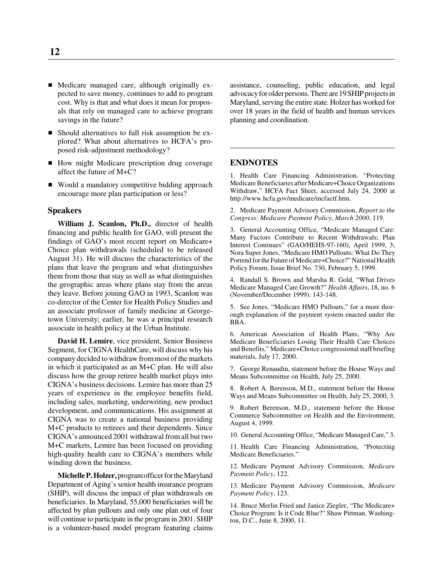- Medicare managed care, although originally expected to save money, continues to add to program cost. Why is that and what does it mean for proposals that rely on managed care to achieve program savings in the future?
- Should alternatives to full risk assumption be explored? What about alternatives to HCFA's proposed risk-adjustment methodology?
- How might Medicare prescription drug coverage affect the future of M+C?
- Would a mandatory competitive bidding approach encourage more plan participation or less?

#### **Speakers**

**William J. Scanlon, Ph.D.,** director of health financing and public health for GAO, will present the findings of GAO's most recent report on Medicare+ Choice plan withdrawals (scheduled to be released August 31). He will discuss the characteristics of the plans that leave the program and what distinguishes them from those that stay as well as what distinguishes the geographic areas where plans stay from the areas they leave. Before joining GAO in 1993, Scanlon was co-director of the Center for Health Policy Studies and an associate professor of family medicine at Georgetown University; earlier, he was a principal research associate in health policy at the Urban Institute.

**David H. Lemire**, vice president, Senior Business Segment, for CIGNA HealthCare, will discuss why his company decided to withdraw from most of the markets in which it participated as an M+C plan. He will also discuss how the group retiree health market plays into CIGNA's business decisions. Lemire has more than 25 years of experience in the employee benefits field, including sales, marketing, underwriting, new product development, and communications. His assignment at CIGNA was to create a national business providing M+C products to retirees and their dependents. Since CIGNA's announced 2001 withdrawal from all but two M+C markets, Lemire has been focused on providing high-quality health care to CIGNA's members while winding down the business.

**Michelle P. Holzer,** program officer for the Maryland Department of Aging's senior health insurance program (SHIP), will discuss the impact of plan withdrawals on beneficiaries. In Maryland, 55,000 beneficiaries will be affected by plan pullouts and only one plan out of four will continue to participate in the program in 2001. SHIP is a volunteer-based model program featuring claims assistance, counseling, public education, and legal advocacy for older persons. There are 19 SHIP projects in Maryland, serving the entire state. Holzer has worked for over 18 years in the field of health and human services planning and coordination.

#### **ENDNOTES**

1. Health Care Financing Administration, "Protecting Medicare Beneficiaries after Medicare+Choice Organizations Withdraw," HCFA Fact Sheet, accessed July 24, 2000 at http://www.hcfa.gov/medicare/mcfactf.htm.

2. Medicare Payment Advisory Commission, *Report to the Congress: Medicare Payment Policy, March 2000*, 119.

3. General Accounting Office, "Medicare Managed Care: Many Factors Contribute to Recent Withdrawals; Plan Interest Continues" (GAO/HEHS-97-160), April 1999, 3; Nora Super Jones, "Medicare HMO Pullouts: What Do They Portend for the Future of Medicare+Choice?" National Health Policy Forum, Issue Brief No. 730, February 5, 1999.

4. Randall S. Brown and Marsha R. Gold, "What Drives Medicare Managed Care Growth?" *Health Affairs*, 18, no. 6 (November/December 1999): 143-148.

5. See Jones, "Medicare HMO Pullouts," for a more thorough explanation of the payment system enacted under the BBA.

6. American Association of Health Plans, "Why Are Medicare Beneficiaries Losing Their Health Care Choices and Benefits," Medicare+Choice congressional staff briefing materials, July 17, 2000.

7. George Renaudin, statement before the House Ways and Means Subcommittee on Health, July 25, 2000.

8. Robert A. Berenson, M.D., statement before the House Ways and Means Subcommittee on Health, July 25, 2000, 3.

9. Robert Berenson, M.D., statement before the House Commerce Subcommittee on Health and the Environment, August 4, 1999.

10. General Accounting Office, "Medicare Managed Care," 3.

11. Health Care Financing Administration, "Protecting Medicare Beneficiaries."

12. Medicare Payment Advisory Commission, *Medicare Payment Policy*, 122.

13. Medicare Payment Advisory Commission, *Medicare Payment Policy*, 123.

14. Bruce Merlin Fried and Janice Ziegler, "The Medicare+ Choice Program: Is it Code Blue?" Shaw Pittman, Washington, D.C., June 8, 2000, 11.